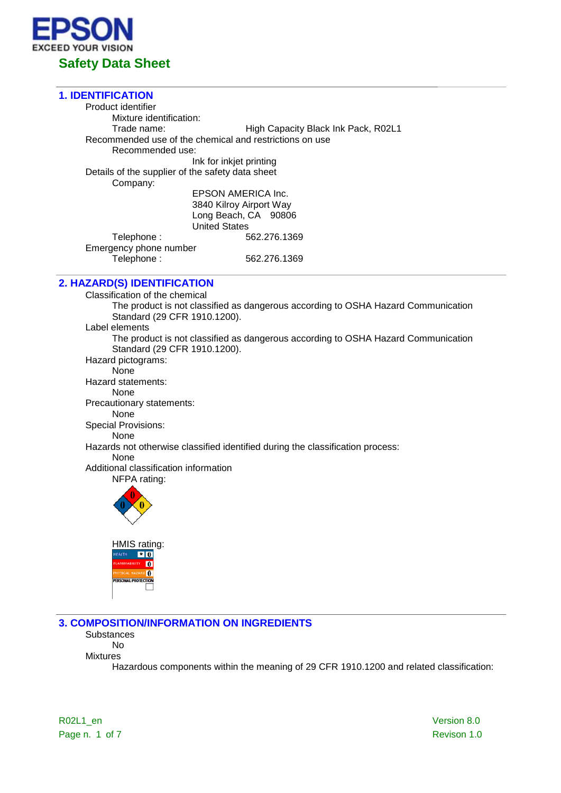

## **1. IDENTIFICATION** Product identifier Mixture identification:<br>Trade name: High Capacity Black Ink Pack, R02L1 Recommended use of the chemical and restrictions on use Recommended use: Ink for inkjet printing Details of the supplier of the safety data sheet Company: EPSON AMERICA Inc. 3840 Kilroy Airport Way Long Beach, CA 90806 United States Telephone : 662.276.1369 Emergency phone number<br>Telephone : Telephone : 562.276.1369

# **2. HAZARD(S) IDENTIFICATION**

Classification of the chemical The product is not classified as dangerous according to OSHA Hazard Communication Standard (29 CFR 1910.1200). Label elements The product is not classified as dangerous according to OSHA Hazard Communication Standard (29 CFR 1910.1200). Hazard pictograms: **None** Hazard statements: None Precautionary statements: None Special Provisions: None Hazards not otherwise classified identified during the classification process: None Additional classification information NFPA rating: HMIS rating:  $\frac{1}{2}$  $\overline{\mathbf{0}}$  $\overline{\mathbf{r}}$ 

**3. COMPOSITION/INFORMATION ON INGREDIENTS**

**Substances** No

Mixtures

Hazardous components within the meaning of 29 CFR 1910.1200 and related classification:

R02L1\_en Version 8.0 Page n. 1 of 7 Revison 1.0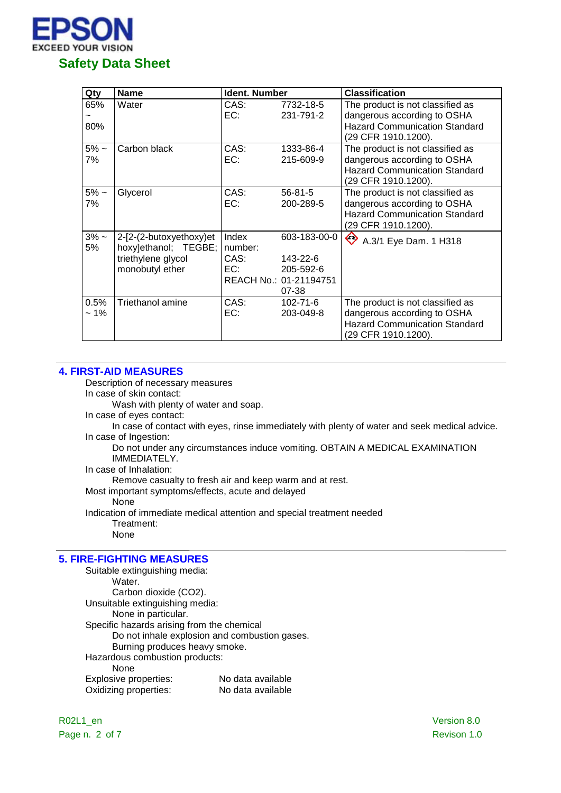

| Qty            | <b>Name</b>                                                                              | <b>Ident. Number</b>            |                                                                          | <b>Classification</b>                                                                                                          |
|----------------|------------------------------------------------------------------------------------------|---------------------------------|--------------------------------------------------------------------------|--------------------------------------------------------------------------------------------------------------------------------|
| 65%<br>80%     | Water                                                                                    | CAS:<br>EC:                     | 7732-18-5<br>231-791-2                                                   | The product is not classified as<br>dangerous according to OSHA<br><b>Hazard Communication Standard</b><br>(29 CFR 1910.1200). |
| $5% -$<br>7%   | Carbon black                                                                             | CAS:<br>EC:                     | 1333-86-4<br>215-609-9                                                   | The product is not classified as<br>dangerous according to OSHA<br><b>Hazard Communication Standard</b><br>(29 CFR 1910.1200). |
| $5\%$ ~<br>7%  | Glycerol                                                                                 | CAS:<br>EC:                     | $56 - 81 - 5$<br>200-289-5                                               | The product is not classified as<br>dangerous according to OSHA<br><b>Hazard Communication Standard</b><br>(29 CFR 1910.1200). |
| $3% -$<br>5%   | 2-[2-(2-butoxyethoxy)et<br>hoxy]ethanol; TEGBE;<br>triethylene glycol<br>monobutyl ether | Index<br>number:<br>CAS:<br>EC: | 603-183-00-0<br>143-22-6<br>205-592-6<br>REACH No.: 01-21194751<br>07-38 | ♦<br>A.3/1 Eye Dam. 1 H318                                                                                                     |
| 0.5%<br>$~1\%$ | <b>Triethanol amine</b>                                                                  | CAS:<br>EC:                     | 102-71-6<br>203-049-8                                                    | The product is not classified as<br>dangerous according to OSHA<br><b>Hazard Communication Standard</b><br>(29 CFR 1910.1200). |

#### **4. FIRST-AID MEASURES**

Description of necessary measures

In case of skin contact:

Wash with plenty of water and soap.

In case of eyes contact:

In case of contact with eyes, rinse immediately with plenty of water and seek medical advice. In case of Ingestion:

Do not under any circumstances induce vomiting. OBTAIN A MEDICAL EXAMINATION IMMEDIATELY.

In case of Inhalation:

Remove casualty to fresh air and keep warm and at rest.

Most important symptoms/effects, acute and delayed

None

Indication of immediate medical attention and special treatment needed Treatment:

None

## **5. FIRE-FIGHTING MEASURES**

Suitable extinguishing media: Water. Carbon dioxide (CO2). Unsuitable extinguishing media: None in particular. Specific hazards arising from the chemical Do not inhale explosion and combustion gases. Burning produces heavy smoke. Hazardous combustion products: None Explosive properties: No data available Oxidizing properties: No data available

R02L1\_en Version 8.0 Page n. 2 of 7 Revison 1.0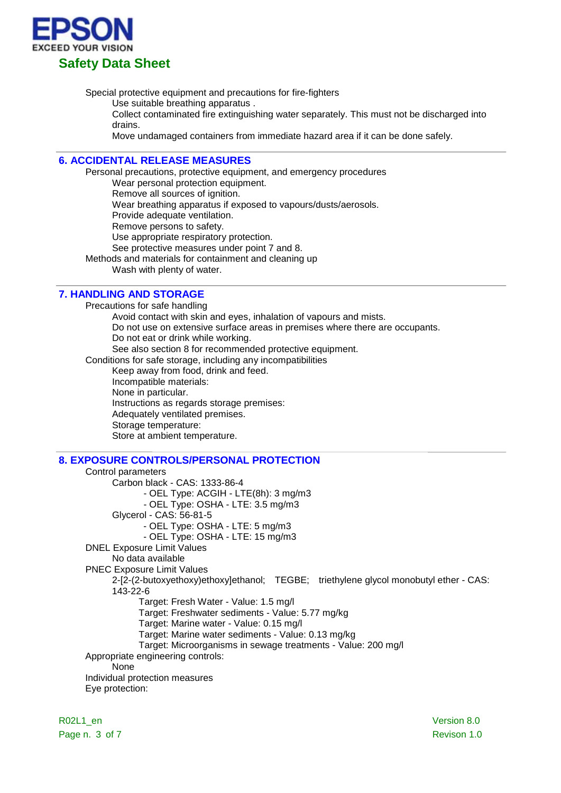

Special protective equipment and precautions for fire-fighters

Use suitable breathing apparatus .

Collect contaminated fire extinguishing water separately. This must not be discharged into drains.

Move undamaged containers from immediate hazard area if it can be done safely.

## **6. ACCIDENTAL RELEASE MEASURES**

Personal precautions, protective equipment, and emergency procedures

Wear personal protection equipment.

Remove all sources of ignition.

Wear breathing apparatus if exposed to vapours/dusts/aerosols.

Provide adequate ventilation.

Remove persons to safety.

Use appropriate respiratory protection.

See protective measures under point 7 and 8.

Methods and materials for containment and cleaning up

Wash with plenty of water.

#### **7. HANDLING AND STORAGE**

Precautions for safe handling Avoid contact with skin and eyes, inhalation of vapours and mists. Do not use on extensive surface areas in premises where there are occupants. Do not eat or drink while working. See also section 8 for recommended protective equipment. Conditions for safe storage, including any incompatibilities Keep away from food, drink and feed. Incompatible materials: None in particular. Instructions as regards storage premises: Adequately ventilated premises. Storage temperature: Store at ambient temperature.

## **8. EXPOSURE CONTROLS/PERSONAL PROTECTION**

Control parameters Carbon black - CAS: 1333-86-4 - OEL Type: ACGIH - LTE(8h): 3 mg/m3 - OEL Type: OSHA - LTE: 3.5 mg/m3 Glycerol - CAS: 56-81-5 - OEL Type: OSHA - LTE: 5 mg/m3 - OEL Type: OSHA - LTE: 15 mg/m3 DNEL Exposure Limit Values No data available PNEC Exposure Limit Values 2-[2-(2-butoxyethoxy)ethoxy]ethanol; TEGBE; triethylene glycol monobutyl ether - CAS: 143-22-6 Target: Fresh Water - Value: 1.5 mg/l Target: Freshwater sediments - Value: 5.77 mg/kg Target: Marine water - Value: 0.15 mg/l Target: Marine water sediments - Value: 0.13 mg/kg Target: Microorganisms in sewage treatments - Value: 200 mg/l Appropriate engineering controls: None Individual protection measures Eye protection:

R02L1\_en Version 8.0 Page n. 3 of 7 Revison 1.0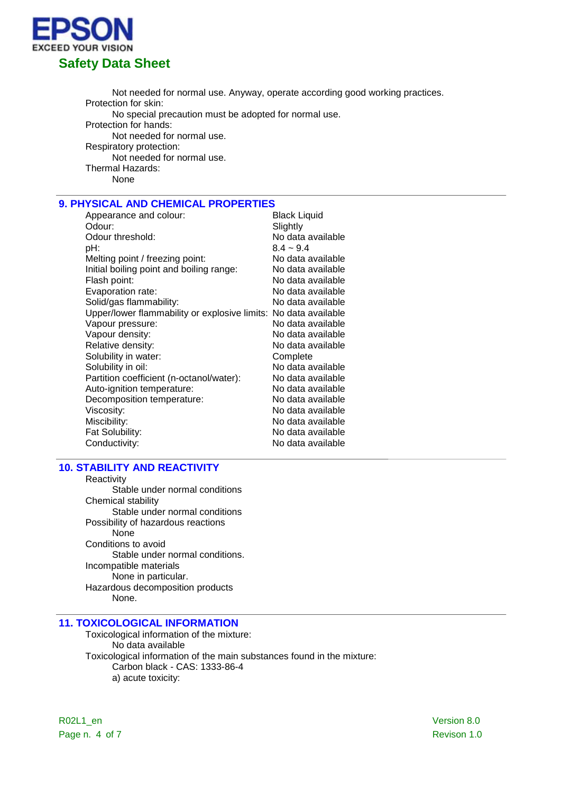

Not needed for normal use. Anyway, operate according good working practices. Protection for skin: No special precaution must be adopted for normal use. Protection for hands: Not needed for normal use. Respiratory protection: Not needed for normal use. Thermal Hazards: None

# **9. PHYSICAL AND CHEMICAL PROPERTIES**

| Appearance and colour:                                          | <b>Black Liquid</b> |
|-----------------------------------------------------------------|---------------------|
| Odour:                                                          | Slightly            |
| Odour threshold:                                                | No data available   |
| pH:                                                             | $8.4 - 9.4$         |
| Melting point / freezing point:                                 | No data available   |
| Initial boiling point and boiling range:                        | No data available   |
| Flash point:                                                    | No data available   |
| Evaporation rate:                                               | No data available   |
| Solid/gas flammability:                                         | No data available   |
| Upper/lower flammability or explosive limits: No data available |                     |
| Vapour pressure:                                                | No data available   |
| Vapour density:                                                 | No data available   |
| Relative density:                                               | No data available   |
| Solubility in water:                                            | Complete            |
| Solubility in oil:                                              | No data available   |
| Partition coefficient (n-octanol/water):                        | No data available   |
| Auto-ignition temperature:                                      | No data available   |
| Decomposition temperature:                                      | No data available   |
| Viscosity:                                                      | No data available   |
| Miscibility:                                                    | No data available   |
| Fat Solubility:                                                 | No data available   |
| Conductivity:                                                   | No data available   |

#### **10. STABILITY AND REACTIVITY**

Reactivity Stable under normal conditions Chemical stability Stable under normal conditions Possibility of hazardous reactions None Conditions to avoid Stable under normal conditions. Incompatible materials None in particular. Hazardous decomposition products None.

# **11. TOXICOLOGICAL INFORMATION**

Toxicological information of the mixture: No data available Toxicological information of the main substances found in the mixture: Carbon black - CAS: 1333-86-4 a) acute toxicity: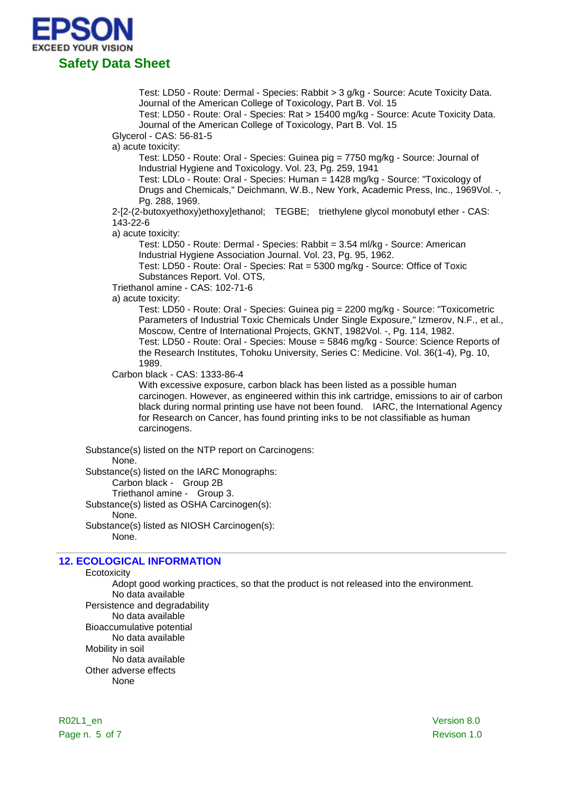

Test: LD50 - Route: Dermal - Species: Rabbit > 3 g/kg - Source: Acute Toxicity Data. Journal of the American College of Toxicology, Part B. Vol. 15

Test: LD50 - Route: Oral - Species: Rat > 15400 mg/kg - Source: Acute Toxicity Data. Journal of the American College of Toxicology, Part B. Vol. 15

Glycerol - CAS: 56-81-5

a) acute toxicity:

Test: LD50 - Route: Oral - Species: Guinea pig = 7750 mg/kg - Source: Journal of Industrial Hygiene and Toxicology. Vol. 23, Pg. 259, 1941

Test: LDLo - Route: Oral - Species: Human = 1428 mg/kg - Source: "Toxicology of Drugs and Chemicals," Deichmann, W.B., New York, Academic Press, Inc., 1969Vol. -, Pg. 288, 1969.

2-[2-(2-butoxyethoxy)ethoxy]ethanol; TEGBE; triethylene glycol monobutyl ether - CAS: 143-22-6

a) acute toxicity:

Test: LD50 - Route: Dermal - Species: Rabbit = 3.54 ml/kg - Source: American Industrial Hygiene Association Journal. Vol. 23, Pg. 95, 1962.

Test: LD50 - Route: Oral - Species: Rat = 5300 mg/kg - Source: Office of Toxic Substances Report. Vol. OTS,

Triethanol amine - CAS: 102-71-6

a) acute toxicity:

Test: LD50 - Route: Oral - Species: Guinea pig = 2200 mg/kg - Source: "Toxicometric Parameters of Industrial Toxic Chemicals Under Single Exposure," Izmerov, N.F., et al., Moscow, Centre of International Projects, GKNT, 1982Vol. -, Pg. 114, 1982. Test: LD50 - Route: Oral - Species: Mouse = 5846 mg/kg - Source: Science Reports of the Research Institutes, Tohoku University, Series C: Medicine. Vol. 36(1-4), Pg. 10, 1989.

Carbon black - CAS: 1333-86-4

With excessive exposure, carbon black has been listed as a possible human carcinogen. However, as engineered within this ink cartridge, emissions to air of carbon black during normal printing use have not been found. IARC, the International Agency for Research on Cancer, has found printing inks to be not classifiable as human carcinogens.

Substance(s) listed on the NTP report on Carcinogens:

#### None.

Substance(s) listed on the IARC Monographs:

Carbon black - Group 2B

Triethanol amine - Group 3.

Substance(s) listed as OSHA Carcinogen(s): None.

Substance(s) listed as NIOSH Carcinogen(s): None.

# **12. ECOLOGICAL INFORMATION**

**Ecotoxicity** 

Adopt good working practices, so that the product is not released into the environment. No data available Persistence and degradability No data available Bioaccumulative potential No data available Mobility in soil No data available Other adverse effects None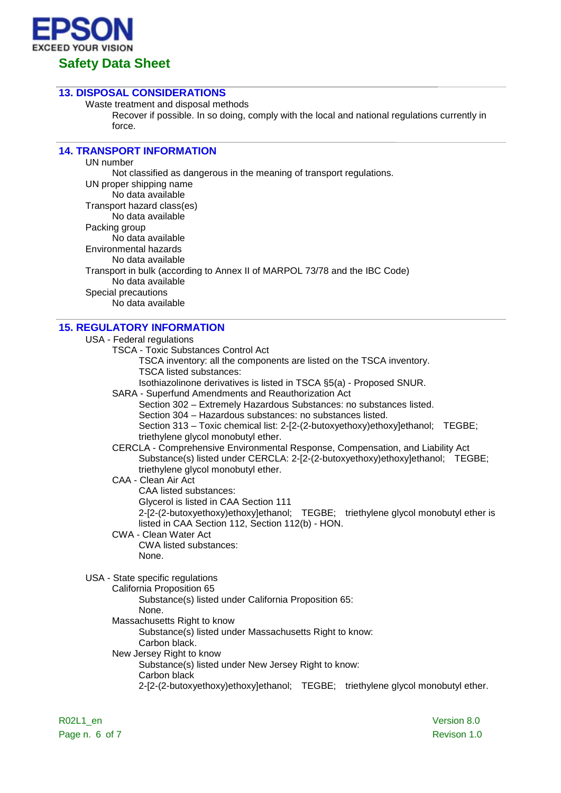

# **13. DISPOSAL CONSIDERATIONS**

Waste treatment and disposal methods

Recover if possible. In so doing, comply with the local and national regulations currently in force.

# **14. TRANSPORT INFORMATION**

UN number Not classified as dangerous in the meaning of transport regulations. UN proper shipping name No data available Transport hazard class(es) No data available Packing group No data available Environmental hazards No data available Transport in bulk (according to Annex II of MARPOL 73/78 and the IBC Code) No data available Special precautions No data available

# **15. REGULATORY INFORMATION**

USA - Federal regulations

- TSCA Toxic Substances Control Act
	- TSCA inventory: all the components are listed on the TSCA inventory. TSCA listed substances:
	- Isothiazolinone derivatives is listed in TSCA §5(a) Proposed SNUR.
- SARA Superfund Amendments and Reauthorization Act
	- Section 302 Extremely Hazardous Substances: no substances listed.
	- Section 304 Hazardous substances: no substances listed.
	- Section 313 Toxic chemical list: 2-[2-(2-butoxyethoxy)ethoxy]ethanol; TEGBE; triethylene glycol monobutyl ether.
- CERCLA Comprehensive Environmental Response, Compensation, and Liability Act Substance(s) listed under CERCLA: 2-[2-(2-butoxyethoxy)ethoxy]ethanol; TEGBE; triethylene glycol monobutyl ether.

#### CAA - Clean Air Act CAA listed substances: Glycerol is listed in CAA Section 111 2-[2-(2-butoxyethoxy)ethoxy]ethanol; TEGBE; triethylene glycol monobutyl ether is listed in CAA Section 112, Section 112(b) - HON.

CWA - Clean Water Act CWA listed substances: None.

USA - State specific regulations

California Proposition 65 Substance(s) listed under California Proposition 65: None. Massachusetts Right to know Substance(s) listed under Massachusetts Right to know: Carbon black. New Jersey Right to know Substance(s) listed under New Jersey Right to know: Carbon black 2-[2-(2-butoxyethoxy)ethoxy]ethanol; TEGBE; triethylene glycol monobutyl ether.